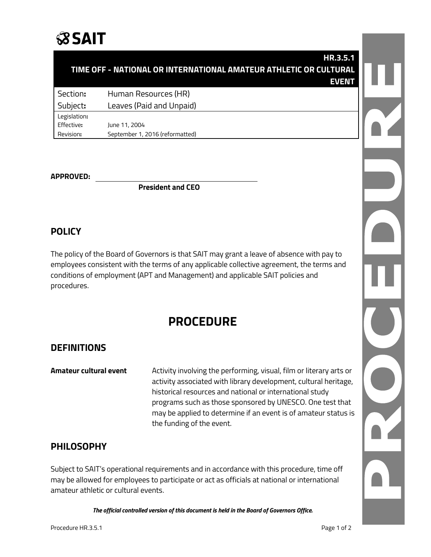# **SSAIT**

| TIME OFF - NATIONAL OR INTERNATIONAL AMATEUR ATHLETIC OR CULTURAL |  |
|-------------------------------------------------------------------|--|
| <b>EVEN</b>                                                       |  |
| Section:<br>Human Resources (HR)                                  |  |
| Leaves (Paid and Unpaid)<br>Subject:                              |  |
| Legislation:                                                      |  |
| Effective:<br>June 11, 2004                                       |  |
| Revision:<br>September 1, 2016 (reformatted)                      |  |

#### **APPROVED:**

**President and CEO**

#### **POLICY**

The policy of the Board of Governors is that SAIT may grant a leave of absence with pay to employees consistent with the terms of any applicable collective agreement, the terms and conditions of employment (APT and Management) and applicable SAIT policies and procedures.

### **PROCEDURE**

#### **DEFINITIONS**

**Amateur cultural event** Activity involving the performing, visual, film or literary arts or activity associated with library development, cultural heritage, historical resources and national or international study programs such as those sponsored by UNESCO. One test that may be applied to determine if an event is of amateur status is the funding of the event.

#### **PHILOSOPHY**

Subject to SAIT's operational requirements and in accordance with this procedure, time off may be allowed for employees to participate or act as officials at national or international amateur athletic or cultural events.

*The official controlled version of this document is held in the Board of Governors Office.*